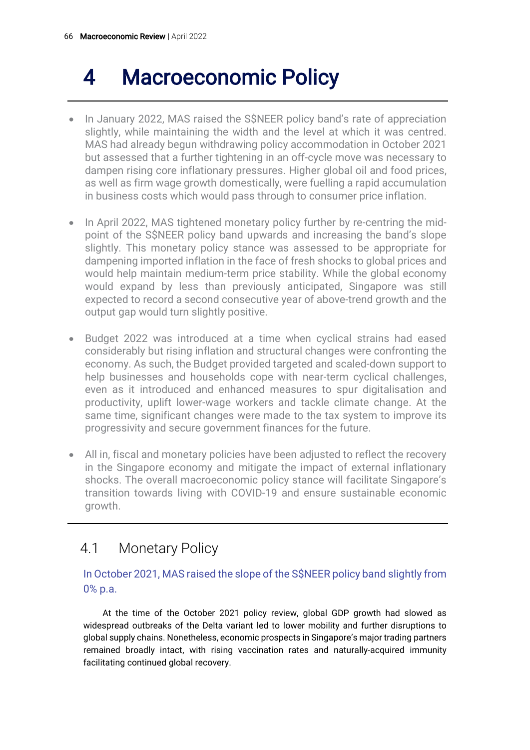# 4 Macroeconomic Policy

- In January 2022, MAS raised the S\$NEER policy band's rate of appreciation slightly, while maintaining the width and the level at which it was centred. MAS had already begun withdrawing policy accommodation in October 2021 but assessed that a further tightening in an off-cycle move was necessary to dampen rising core inflationary pressures. Higher global oil and food prices, as well as firm wage growth domestically, were fuelling a rapid accumulation in business costs which would pass through to consumer price inflation.
- In April 2022, MAS tightened monetary policy further by re-centring the midpoint of the S\$NEER policy band upwards and increasing the band's slope slightly. This monetary policy stance was assessed to be appropriate for dampening imported inflation in the face of fresh shocks to global prices and would help maintain medium-term price stability. While the global economy would expand by less than previously anticipated, Singapore was still expected to record a second consecutive year of above-trend growth and the output gap would turn slightly positive.
- Budget 2022 was introduced at a time when cyclical strains had eased considerably but rising inflation and structural changes were confronting the economy. As such, the Budget provided targeted and scaled-down support to help businesses and households cope with near-term cyclical challenges, even as it introduced and enhanced measures to spur digitalisation and productivity, uplift lower-wage workers and tackle climate change. At the same time, significant changes were made to the tax system to improve its progressivity and secure government finances for the future.
- All in, fiscal and monetary policies have been adjusted to reflect the recovery in the Singapore economy and mitigate the impact of external inflationary shocks. The overall macroeconomic policy stance will facilitate Singapore's transition towards living with COVID-19 and ensure sustainable economic growth.

# 4.1 Monetary Policy

### In October 2021, MAS raised the slope of the S\$NEER policy band slightly from 0% p.a.

At the time of the October 2021 policy review, global GDP growth had slowed as widespread outbreaks of the Delta variant led to lower mobility and further disruptions to global supply chains. Nonetheless, economic prospects in Singapore's major trading partners remained broadly intact, with rising vaccination rates and naturally-acquired immunity facilitating continued global recovery.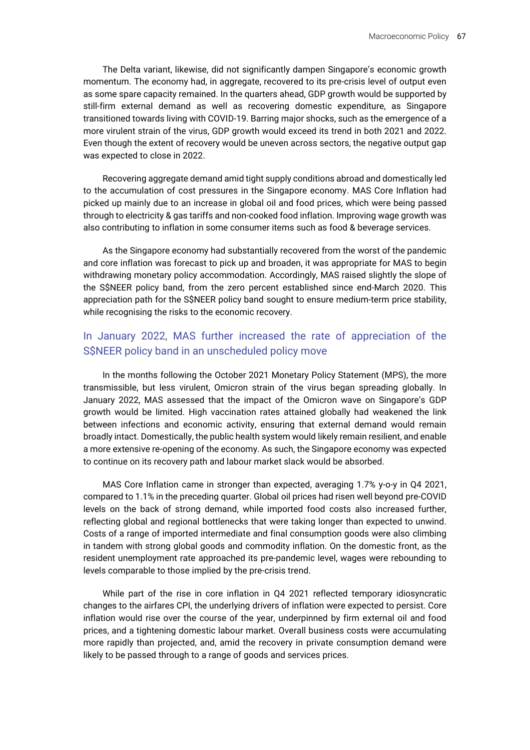The Delta variant, likewise, did not significantly dampen Singapore's economic growth momentum. The economy had, in aggregate, recovered to its pre-crisis level of output even as some spare capacity remained. In the quarters ahead, GDP growth would be supported by still-firm external demand as well as recovering domestic expenditure, as Singapore transitioned towards living with COVID-19. Barring major shocks, such as the emergence of a more virulent strain of the virus, GDP growth would exceed its trend in both 2021 and 2022. Even though the extent of recovery would be uneven across sectors, the negative output gap was expected to close in 2022.

Recovering aggregate demand amid tight supply conditions abroad and domestically led to the accumulation of cost pressures in the Singapore economy. MAS Core Inflation had picked up mainly due to an increase in global oil and food prices, which were being passed through to electricity & gas tariffs and non-cooked food inflation. Improving wage growth was also contributing to inflation in some consumer items such as food & beverage services.

As the Singapore economy had substantially recovered from the worst of the pandemic and core inflation was forecast to pick up and broaden, it was appropriate for MAS to begin withdrawing monetary policy accommodation. Accordingly, MAS raised slightly the slope of the S\$NEER policy band, from the zero percent established since end-March 2020. This appreciation path for the S\$NEER policy band sought to ensure medium-term price stability, while recognising the risks to the economic recovery.

### In January 2022, MAS further increased the rate of appreciation of the S\$NEER policy band in an unscheduled policy move

In the months following the October 2021 Monetary Policy Statement (MPS), the more transmissible, but less virulent, Omicron strain of the virus began spreading globally. In January 2022, MAS assessed that the impact of the Omicron wave on Singapore's GDP growth would be limited. High vaccination rates attained globally had weakened the link between infections and economic activity, ensuring that external demand would remain broadly intact. Domestically, the public health system would likely remain resilient, and enable a more extensive re-opening of the economy. As such, the Singapore economy was expected to continue on its recovery path and labour market slack would be absorbed.

MAS Core Inflation came in stronger than expected, averaging 1.7% y-o-y in Q4 2021, compared to 1.1% in the preceding quarter. Global oil prices had risen well beyond pre-COVID levels on the back of strong demand, while imported food costs also increased further, reflecting global and regional bottlenecks that were taking longer than expected to unwind. Costs of a range of imported intermediate and final consumption goods were also climbing in tandem with strong global goods and commodity inflation. On the domestic front, as the resident unemployment rate approached its pre-pandemic level, wages were rebounding to levels comparable to those implied by the pre-crisis trend.

While part of the rise in core inflation in Q4 2021 reflected temporary idiosyncratic changes to the airfares CPI, the underlying drivers of inflation were expected to persist. Core inflation would rise over the course of the year, underpinned by firm external oil and food prices, and a tightening domestic labour market. Overall business costs were accumulating more rapidly than projected, and, amid the recovery in private consumption demand were likely to be passed through to a range of goods and services prices.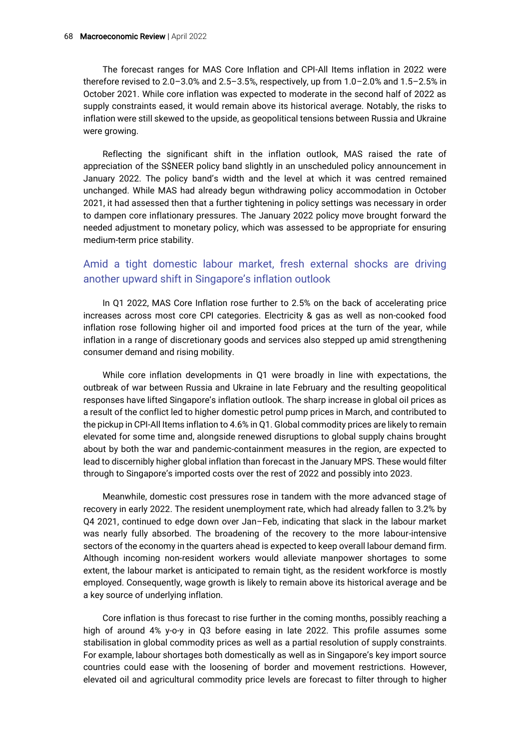The forecast ranges for MAS Core Inflation and CPI-All Items inflation in 2022 were therefore revised to 2.0–3.0% and 2.5–3.5%, respectively, up from 1.0–2.0% and 1.5–2.5% in October 2021. While core inflation was expected to moderate in the second half of 2022 as supply constraints eased, it would remain above its historical average. Notably, the risks to inflation were still skewed to the upside, as geopolitical tensions between Russia and Ukraine were growing.

Reflecting the significant shift in the inflation outlook, MAS raised the rate of appreciation of the S\$NEER policy band slightly in an unscheduled policy announcement in January 2022. The policy band's width and the level at which it was centred remained unchanged. While MAS had already begun withdrawing policy accommodation in October 2021, it had assessed then that a further tightening in policy settings was necessary in order to dampen core inflationary pressures. The January 2022 policy move brought forward the needed adjustment to monetary policy, which was assessed to be appropriate for ensuring medium-term price stability.

### Amid a tight domestic labour market, fresh external shocks are driving another upward shift in Singapore's inflation outlook

In Q1 2022, MAS Core Inflation rose further to 2.5% on the back of accelerating price increases across most core CPI categories. Electricity & gas as well as non-cooked food inflation rose following higher oil and imported food prices at the turn of the year, while inflation in a range of discretionary goods and services also stepped up amid strengthening consumer demand and rising mobility.

While core inflation developments in Q1 were broadly in line with expectations, the outbreak of war between Russia and Ukraine in late February and the resulting geopolitical responses have lifted Singapore's inflation outlook. The sharp increase in global oil prices as a result of the conflict led to higher domestic petrol pump prices in March, and contributed to the pickup in CPI-All Items inflation to 4.6% in Q1. Global commodity prices are likely to remain elevated for some time and, alongside renewed disruptions to global supply chains brought about by both the war and pandemic-containment measures in the region, are expected to lead to discernibly higher global inflation than forecast in the January MPS. These would filter through to Singapore's imported costs over the rest of 2022 and possibly into 2023.

Meanwhile, domestic cost pressures rose in tandem with the more advanced stage of recovery in early 2022. The resident unemployment rate, which had already fallen to 3.2% by Q4 2021, continued to edge down over Jan–Feb, indicating that slack in the labour market was nearly fully absorbed. The broadening of the recovery to the more labour-intensive sectors of the economy in the quarters ahead is expected to keep overall labour demand firm. Although incoming non-resident workers would alleviate manpower shortages to some extent, the labour market is anticipated to remain tight, as the resident workforce is mostly employed. Consequently, wage growth is likely to remain above its historical average and be a key source of underlying inflation.

Core inflation is thus forecast to rise further in the coming months, possibly reaching a high of around 4% y-o-y in Q3 before easing in late 2022. This profile assumes some stabilisation in global commodity prices as well as a partial resolution of supply constraints. For example, labour shortages both domestically as well as in Singapore's key import source countries could ease with the loosening of border and movement restrictions. However, elevated oil and agricultural commodity price levels are forecast to filter through to higher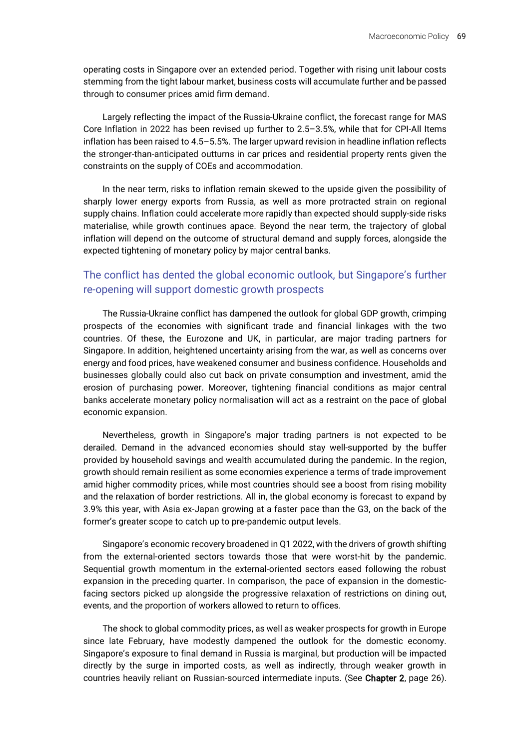operating costs in Singapore over an extended period. Together with rising unit labour costs stemming from the tight labour market, business costs will accumulate further and be passed through to consumer prices amid firm demand.

Largely reflecting the impact of the Russia-Ukraine conflict, the forecast range for MAS Core Inflation in 2022 has been revised up further to 2.5–3.5%, while that for CPI-All Items inflation has been raised to 4.5–5.5%. The larger upward revision in headline inflation reflects the stronger-than-anticipated outturns in car prices and residential property rents given the constraints on the supply of COEs and accommodation.

In the near term, risks to inflation remain skewed to the upside given the possibility of sharply lower energy exports from Russia, as well as more protracted strain on regional supply chains. Inflation could accelerate more rapidly than expected should supply-side risks materialise, while growth continues apace. Beyond the near term, the trajectory of global inflation will depend on the outcome of structural demand and supply forces, alongside the expected tightening of monetary policy by major central banks.

### The conflict has dented the global economic outlook, but Singapore's further re-opening will support domestic growth prospects

The Russia-Ukraine conflict has dampened the outlook for global GDP growth, crimping prospects of the economies with significant trade and financial linkages with the two countries. Of these, the Eurozone and UK, in particular, are major trading partners for Singapore. In addition, heightened uncertainty arising from the war, as well as concerns over energy and food prices, have weakened consumer and business confidence. Households and businesses globally could also cut back on private consumption and investment, amid the erosion of purchasing power. Moreover, tightening financial conditions as major central banks accelerate monetary policy normalisation will act as a restraint on the pace of global economic expansion.

Nevertheless, growth in Singapore's major trading partners is not expected to be derailed. Demand in the advanced economies should stay well-supported by the buffer provided by household savings and wealth accumulated during the pandemic. In the region, growth should remain resilient as some economies experience a terms of trade improvement amid higher commodity prices, while most countries should see a boost from rising mobility and the relaxation of border restrictions. All in, the global economy is forecast to expand by 3.9% this year, with Asia ex-Japan growing at a faster pace than the G3, on the back of the former's greater scope to catch up to pre-pandemic output levels.

Singapore's economic recovery broadened in Q1 2022, with the drivers of growth shifting from the external-oriented sectors towards those that were worst-hit by the pandemic. Sequential growth momentum in the external-oriented sectors eased following the robust expansion in the preceding quarter. In comparison, the pace of expansion in the domesticfacing sectors picked up alongside the progressive relaxation of restrictions on dining out, events, and the proportion of workers allowed to return to offices.

The shock to global commodity prices, as well as weaker prospects for growth in Europe since late February, have modestly dampened the outlook for the domestic economy. Singapore's exposure to final demand in Russia is marginal, but production will be impacted directly by the surge in imported costs, as well as indirectly, through weaker growth in countries heavily reliant on Russian-sourced intermediate inputs. (See Chapter 2, page 26).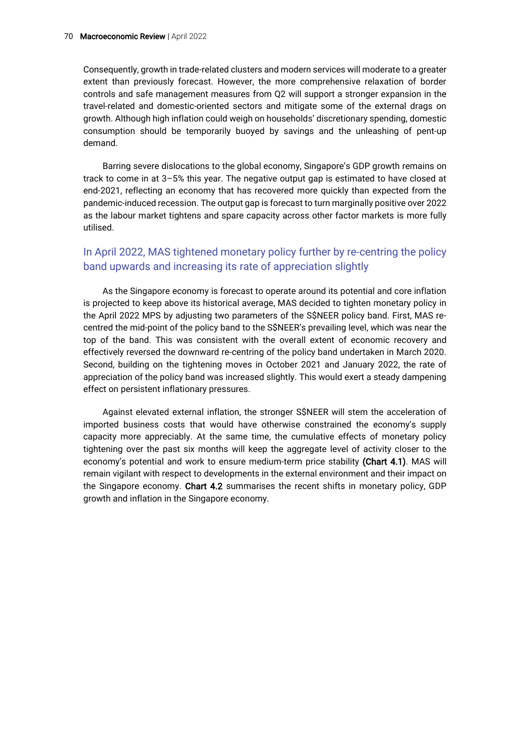Consequently, growth in trade-related clusters and modern services will moderate to a greater extent than previously forecast. However, the more comprehensive relaxation of border controls and safe management measures from Q2 will support a stronger expansion in the travel-related and domestic-oriented sectors and mitigate some of the external drags on growth. Although high inflation could weigh on households' discretionary spending, domestic consumption should be temporarily buoyed by savings and the unleashing of pent-up demand.

Barring severe dislocations to the global economy, Singapore's GDP growth remains on track to come in at 3–5% this year. The negative output gap is estimated to have closed at end-2021, reflecting an economy that has recovered more quickly than expected from the pandemic-induced recession. The output gap is forecast to turn marginally positive over 2022 as the labour market tightens and spare capacity across other factor markets is more fully utilised.

### In April 2022, MAS tightened monetary policy further by re-centring the policy band upwards and increasing its rate of appreciation slightly

As the Singapore economy is forecast to operate around its potential and core inflation is projected to keep above its historical average, MAS decided to tighten monetary policy in the April 2022 MPS by adjusting two parameters of the S\$NEER policy band. First, MAS recentred the mid-point of the policy band to the S\$NEER's prevailing level, which was near the top of the band. This was consistent with the overall extent of economic recovery and effectively reversed the downward re-centring of the policy band undertaken in March 2020. Second, building on the tightening moves in October 2021 and January 2022, the rate of appreciation of the policy band was increased slightly. This would exert a steady dampening effect on persistent inflationary pressures.

Against elevated external inflation, the stronger S\$NEER will stem the acceleration of imported business costs that would have otherwise constrained the economy's supply capacity more appreciably. At the same time, the cumulative effects of monetary policy tightening over the past six months will keep the aggregate level of activity closer to the economy's potential and work to ensure medium-term price stability (Chart 4.1). MAS will remain vigilant with respect to developments in the external environment and their impact on the Singapore economy. Chart 4.2 summarises the recent shifts in monetary policy, GDP growth and inflation in the Singapore economy.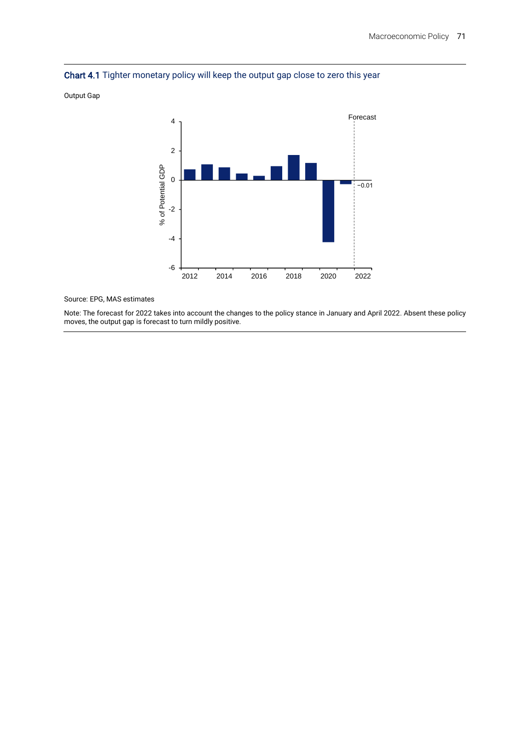



Output Gap

Source: EPG, MAS estimates

Note: The forecast for 2022 takes into account the changes to the policy stance in January and April 2022. Absent these policy moves, the output gap is forecast to turn mildly positive.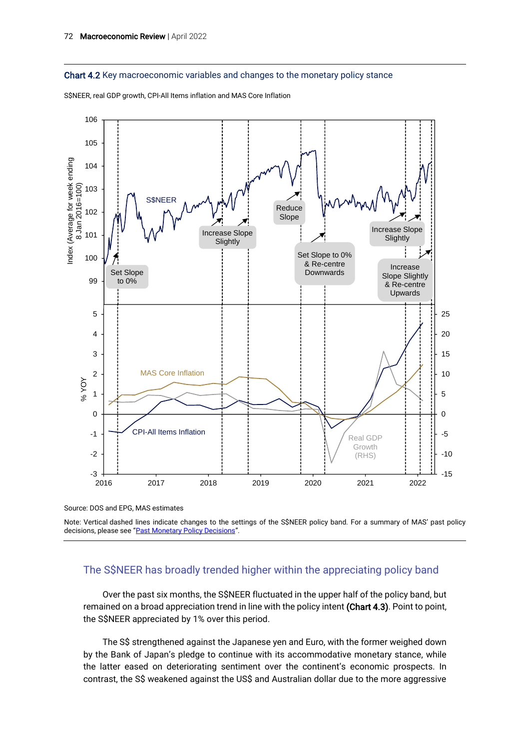

S\$NEER, real GDP growth, CPI-All Items inflation and MAS Core Inflation



Source: DOS and EPG, MAS estimates

Note: Vertical dashed lines indicate changes to the settings of the S\$NEER policy band. For a summary of MAS' past policy decisions, please see "[Past Monetary Policy Decisions](https://www.mas.gov.sg/monetary-policy/past-monetary-policy-decisions)".

### The S\$NEER has broadly trended higher within the appreciating policy band

Over the past six months, the S\$NEER fluctuated in the upper half of the policy band, but remained on a broad appreciation trend in line with the policy intent (Chart 4.3). Point to point, the S\$NEER appreciated by 1% over this period.

The S\$ strengthened against the Japanese yen and Euro, with the former weighed down by the Bank of Japan's pledge to continue with its accommodative monetary stance, while the latter eased on deteriorating sentiment over the continent's economic prospects. In contrast, the S\$ weakened against the US\$ and Australian dollar due to the more aggressive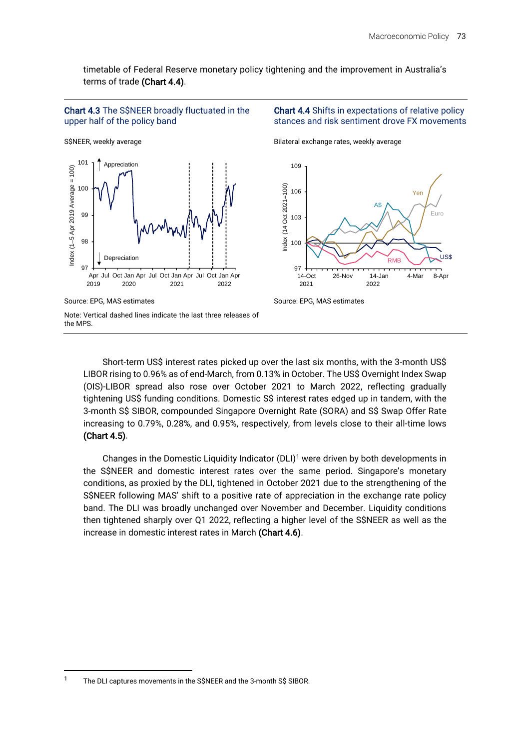Yen

 $U<sub>0</sub>$ 

8-Apr

Euro





Chart 4.4 Shifts in expectations of relative policy stances and risk sentiment drove FX movements

A\$

RMB

Short-term US\$ interest rates picked up over the last six months, with the 3-month US\$ LIBOR rising to 0.96% as of end-March, from 0.13% in October. The US\$ Overnight Index Swap (OIS)-LIBOR spread also rose over October 2021 to March 2022, reflecting gradually tightening US\$ funding conditions. Domestic S\$ interest rates edged up in tandem, with the 3-month S\$ SIBOR, compounded Singapore Overnight Rate (SORA) and S\$ Swap Offer Rate increasing to 0.79%, 0.28%, and 0.95%, respectively, from levels close to their all-time lows (Chart 4.5).

Changes in the Domestic Liquidity Indicator  $(DLI)^1$  were driven by both developments in the S\$NEER and domestic interest rates over the same period. Singapore's monetary conditions, as proxied by the DLI, tightened in October 2021 due to the strengthening of the S\$NEER following MAS' shift to a positive rate of appreciation in the exchange rate policy band. The DLI was broadly unchanged over November and December. Liquidity conditions then tightened sharply over Q1 2022, reflecting a higher level of the S\$NEER as well as the increase in domestic interest rates in March (Chart 4.6).

<sup>&</sup>lt;sup>1</sup> The DLI captures movements in the S\$NEER and the 3-month S\$ SIBOR.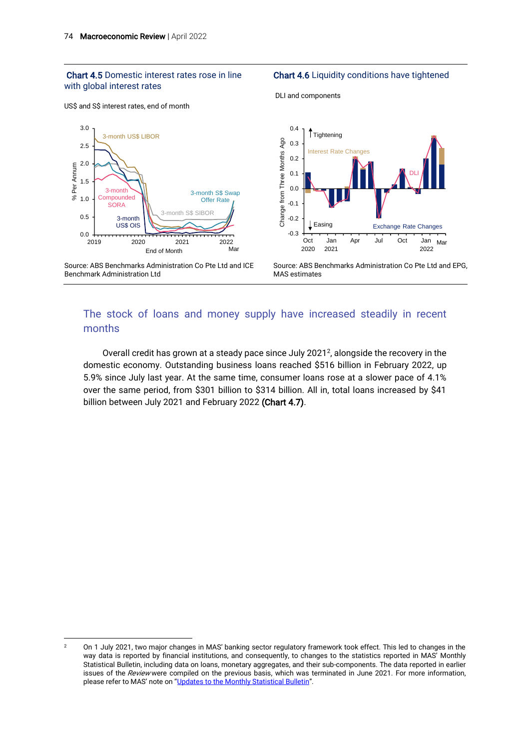#### Chart 4.5 Domestic interest rates rose in line with global interest rates

#### US\$ and S\$ interest rates, end of month



DLI and components



Source: ABS Benchmarks Administration Co Pte Ltd and ICE Benchmark Administration Ltd



Source: ABS Benchmarks Administration Co Pte Ltd and EPG, MAS estimates

### The stock of loans and money supply have increased steadily in recent months

Overall credit has grown at a steady pace since July 2021<sup>2</sup>, alongside the recovery in the domestic economy. Outstanding business loans reached \$516 billion in February 2022, up 5.9% since July last year. At the same time, consumer loans rose at a slower pace of 4.1% over the same period, from \$301 billion to \$314 billion. All in, total loans increased by \$41 billion between July 2021 and February 2022 (Chart 4.7).

<sup>&</sup>lt;sup>2</sup> On 1 July 2021, two major changes in MAS' banking sector regulatory framework took effect. This led to changes in the way data is reported by financial institutions, and consequently, to changes to the statistics reported in MAS' Monthly Statistical Bulletin, including data on loans, monetary aggregates, and their sub-components. The data reported in earlier issues of the Review were compiled on the previous basis, which was terminated in June 2021. For more information, please refer to MAS' note on "[Updates to the Monthly Statistical Bulletin](https://www.mas.gov.sg/-/media/MAS/Statistics/Monthly-Statistical-Bulletin/MSB-Note-Final.pdf?la=en&hash=74E47CAD27E21EDD8EDCC9781473306B3D8A2BD6)".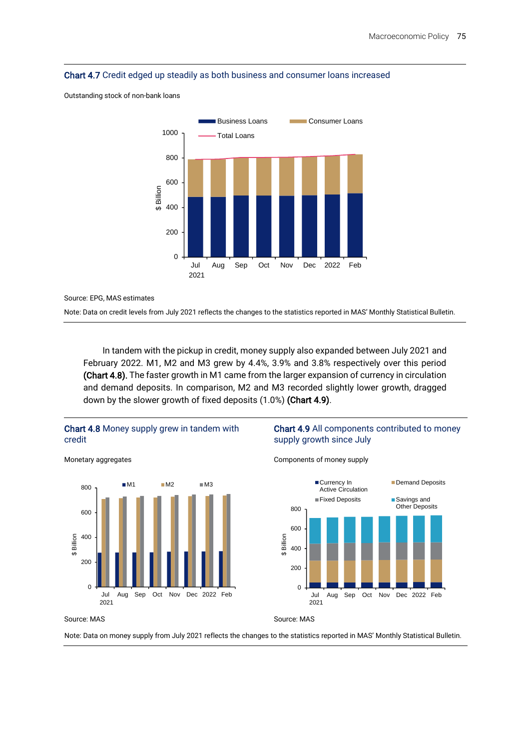

Outstanding stock of non-bank loans



Source: EPG, MAS estimates

Note: Data on credit levels from July 2021 reflects the changes to the statistics reported in MAS' Monthly Statistical Bulletin.

In tandem with the pickup in credit, money supply also expanded between July 2021 and February 2022. M1, M2 and M3 grew by 4.4%, 3.9% and 3.8% respectively over this period (Chart 4.8). The faster growth in M1 came from the larger expansion of currency in circulation and demand deposits. In comparison, M2 and M3 recorded slightly lower growth, dragged down by the slower growth of fixed deposits (1.0%) (Chart 4.9).



#### Chart 4.9 All components contributed to money supply growth since July

Demand Deposits

Other Deposits

Components of money supply



Monetary aggregates



 $\Omega$ 

2021

200

400

\$ Billion

600

800

Note: Data on money supply from July 2021 reflects the changes to the statistics reported in MAS' Monthly Statistical Bulletin.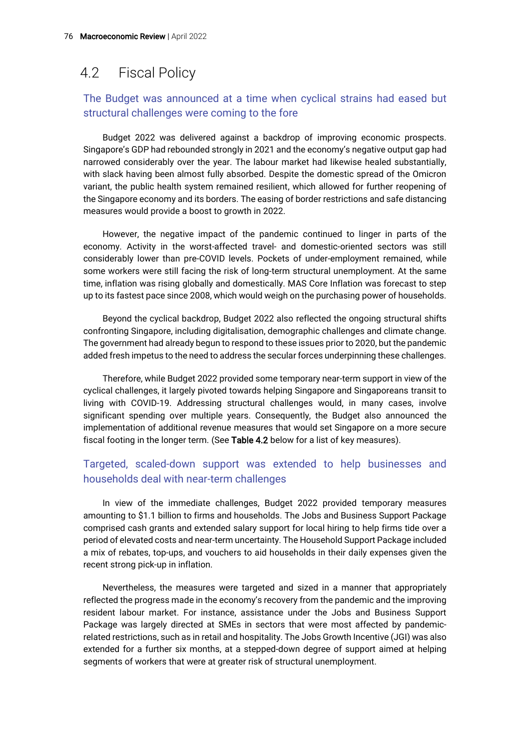## 4.2 Fiscal Policy

### The Budget was announced at a time when cyclical strains had eased but structural challenges were coming to the fore

Budget 2022 was delivered against a backdrop of improving economic prospects. Singapore's GDP had rebounded strongly in 2021 and the economy's negative output gap had narrowed considerably over the year. The labour market had likewise healed substantially, with slack having been almost fully absorbed. Despite the domestic spread of the Omicron variant, the public health system remained resilient, which allowed for further reopening of the Singapore economy and its borders. The easing of border restrictions and safe distancing measures would provide a boost to growth in 2022.

However, the negative impact of the pandemic continued to linger in parts of the economy. Activity in the worst-affected travel- and domestic-oriented sectors was still considerably lower than pre-COVID levels. Pockets of under-employment remained, while some workers were still facing the risk of long-term structural unemployment. At the same time, inflation was rising globally and domestically. MAS Core Inflation was forecast to step up to its fastest pace since 2008, which would weigh on the purchasing power of households.

Beyond the cyclical backdrop, Budget 2022 also reflected the ongoing structural shifts confronting Singapore, including digitalisation, demographic challenges and climate change. The government had already begun to respond to these issues prior to 2020, but the pandemic added fresh impetus to the need to address the secular forces underpinning these challenges.

Therefore, while Budget 2022 provided some temporary near-term support in view of the cyclical challenges, it largely pivoted towards helping Singapore and Singaporeans transit to living with COVID-19. Addressing structural challenges would, in many cases, involve significant spending over multiple years. Consequently, the Budget also announced the implementation of additional revenue measures that would set Singapore on a more secure fiscal footing in the longer term. (See Table 4.2 below for a list of key measures).

### Targeted, scaled-down support was extended to help businesses and households deal with near-term challenges

In view of the immediate challenges, Budget 2022 provided temporary measures amounting to \$1.1 billion to firms and households. The Jobs and Business Support Package comprised cash grants and extended salary support for local hiring to help firms tide over a period of elevated costs and near-term uncertainty. The Household Support Package included a mix of rebates, top-ups, and vouchers to aid households in their daily expenses given the recent strong pick-up in inflation.

Nevertheless, the measures were targeted and sized in a manner that appropriately reflected the progress made in the economy's recovery from the pandemic and the improving resident labour market. For instance, assistance under the Jobs and Business Support Package was largely directed at SMEs in sectors that were most affected by pandemicrelated restrictions, such as in retail and hospitality. The Jobs Growth Incentive (JGI) was also extended for a further six months, at a stepped-down degree of support aimed at helping segments of workers that were at greater risk of structural unemployment.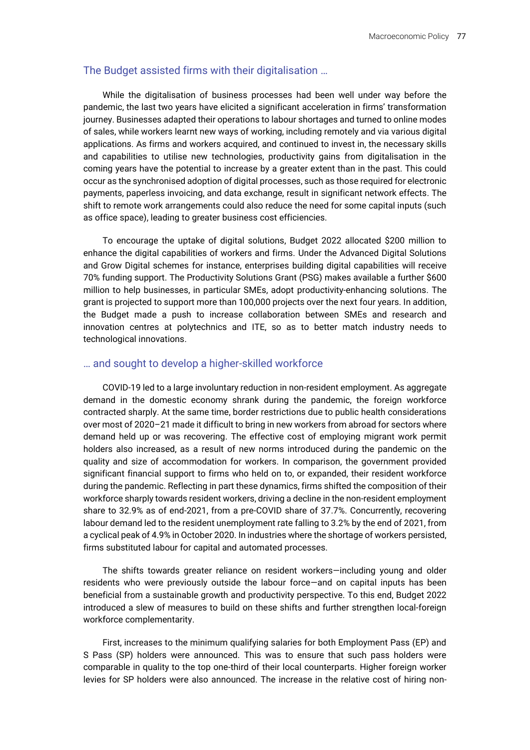### The Budget assisted firms with their digitalisation …

While the digitalisation of business processes had been well under way before the pandemic, the last two years have elicited a significant acceleration in firms' transformation journey. Businesses adapted their operations to labour shortages and turned to online modes of sales, while workers learnt new ways of working, including remotely and via various digital applications. As firms and workers acquired, and continued to invest in, the necessary skills and capabilities to utilise new technologies, productivity gains from digitalisation in the coming years have the potential to increase by a greater extent than in the past. This could occur as the synchronised adoption of digital processes, such as those required for electronic payments, paperless invoicing, and data exchange, result in significant network effects. The shift to remote work arrangements could also reduce the need for some capital inputs (such as office space), leading to greater business cost efficiencies.

To encourage the uptake of digital solutions, Budget 2022 allocated \$200 million to enhance the digital capabilities of workers and firms. Under the Advanced Digital Solutions and Grow Digital schemes for instance, enterprises building digital capabilities will receive 70% funding support. The Productivity Solutions Grant (PSG) makes available a further \$600 million to help businesses, in particular SMEs, adopt productivity-enhancing solutions. The grant is projected to support more than 100,000 projects over the next four years. In addition, the Budget made a push to increase collaboration between SMEs and research and innovation centres at polytechnics and ITE, so as to better match industry needs to technological innovations.

#### … and sought to develop a higher-skilled workforce

COVID-19 led to a large involuntary reduction in non-resident employment. As aggregate demand in the domestic economy shrank during the pandemic, the foreign workforce contracted sharply. At the same time, border restrictions due to public health considerations over most of 2020–21 made it difficult to bring in new workers from abroad for sectors where demand held up or was recovering. The effective cost of employing migrant work permit holders also increased, as a result of new norms introduced during the pandemic on the quality and size of accommodation for workers. In comparison, the government provided significant financial support to firms who held on to, or expanded, their resident workforce during the pandemic. Reflecting in part these dynamics, firms shifted the composition of their workforce sharply towards resident workers, driving a decline in the non-resident employment share to 32.9% as of end-2021, from a pre-COVID share of 37.7%. Concurrently, recovering labour demand led to the resident unemployment rate falling to 3.2% by the end of 2021, from a cyclical peak of 4.9% in October 2020. In industries where the shortage of workers persisted, firms substituted labour for capital and automated processes.

The shifts towards greater reliance on resident workers—including young and older residents who were previously outside the labour force—and on capital inputs has been beneficial from a sustainable growth and productivity perspective. To this end, Budget 2022 introduced a slew of measures to build on these shifts and further strengthen local-foreign workforce complementarity.

First, increases to the minimum qualifying salaries for both Employment Pass (EP) and S Pass (SP) holders were announced. This was to ensure that such pass holders were comparable in quality to the top one-third of their local counterparts. Higher foreign worker levies for SP holders were also announced. The increase in the relative cost of hiring non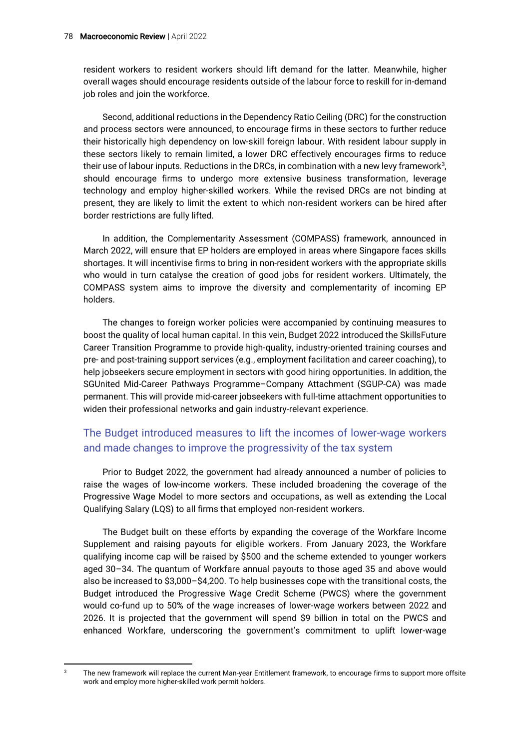resident workers to resident workers should lift demand for the latter. Meanwhile, higher overall wages should encourage residents outside of the labour force to reskill for in-demand job roles and join the workforce.

Second, additional reductions in the Dependency Ratio Ceiling (DRC) for the construction and process sectors were announced, to encourage firms in these sectors to further reduce their historically high dependency on low-skill foreign labour. With resident labour supply in these sectors likely to remain limited, a lower DRC effectively encourages firms to reduce their use of labour inputs. Reductions in the DRCs, in combination with a new levy framework $3$ , should encourage firms to undergo more extensive business transformation, leverage technology and employ higher-skilled workers. While the revised DRCs are not binding at present, they are likely to limit the extent to which non-resident workers can be hired after border restrictions are fully lifted.

In addition, the Complementarity Assessment (COMPASS) framework, announced in March 2022, will ensure that EP holders are employed in areas where Singapore faces skills shortages. It will incentivise firms to bring in non-resident workers with the appropriate skills who would in turn catalyse the creation of good jobs for resident workers. Ultimately, the COMPASS system aims to improve the diversity and complementarity of incoming EP holders.

The changes to foreign worker policies were accompanied by continuing measures to boost the quality of local human capital. In this vein, Budget 2022 introduced the SkillsFuture Career Transition Programme to provide high-quality, industry-oriented training courses and pre- and post-training support services (e.g., employment facilitation and career coaching), to help jobseekers secure employment in sectors with good hiring opportunities. In addition, the SGUnited Mid-Career Pathways Programme–Company Attachment (SGUP-CA) was made permanent. This will provide mid-career jobseekers with full-time attachment opportunities to widen their professional networks and gain industry-relevant experience.

### The Budget introduced measures to lift the incomes of lower-wage workers and made changes to improve the progressivity of the tax system

Prior to Budget 2022, the government had already announced a number of policies to raise the wages of low-income workers. These included broadening the coverage of the Progressive Wage Model to more sectors and occupations, as well as extending the Local Qualifying Salary (LQS) to all firms that employed non-resident workers.

The Budget built on these efforts by expanding the coverage of the Workfare Income Supplement and raising payouts for eligible workers. From January 2023, the Workfare qualifying income cap will be raised by \$500 and the scheme extended to younger workers aged 30–34. The quantum of Workfare annual payouts to those aged 35 and above would also be increased to \$3,000–\$4,200. To help businesses cope with the transitional costs, the Budget introduced the Progressive Wage Credit Scheme (PWCS) where the government would co-fund up to 50% of the wage increases of lower-wage workers between 2022 and 2026. It is projected that the government will spend \$9 billion in total on the PWCS and enhanced Workfare, underscoring the government's commitment to uplift lower-wage

<sup>&</sup>lt;sup>3</sup> The new framework will replace the current Man-year Entitlement framework, to encourage firms to support more offsite work and employ more higher-skilled work permit holders.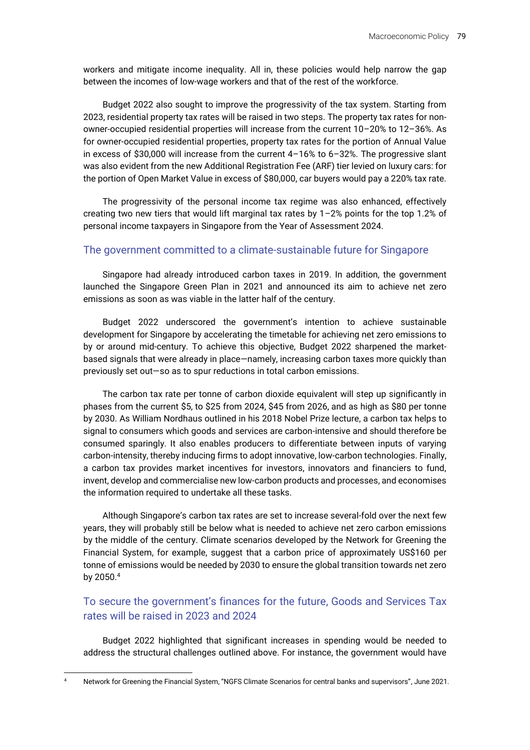workers and mitigate income inequality. All in, these policies would help narrow the gap between the incomes of low-wage workers and that of the rest of the workforce.

Budget 2022 also sought to improve the progressivity of the tax system. Starting from 2023, residential property tax rates will be raised in two steps. The property tax rates for nonowner-occupied residential properties will increase from the current 10–20% to 12–36%. As for owner-occupied residential properties, property tax rates for the portion of Annual Value in excess of \$30,000 will increase from the current 4–16% to 6–32%. The progressive slant was also evident from the new Additional Registration Fee (ARF) tier levied on luxury cars: for the portion of Open Market Value in excess of \$80,000, car buyers would pay a 220% tax rate.

The progressivity of the personal income tax regime was also enhanced, effectively creating two new tiers that would lift marginal tax rates by  $1-2\%$  points for the top 1.2% of personal income taxpayers in Singapore from the Year of Assessment 2024.

### The government committed to a climate-sustainable future for Singapore

Singapore had already introduced carbon taxes in 2019. In addition, the government launched the Singapore Green Plan in 2021 and announced its aim to achieve net zero emissions as soon as was viable in the latter half of the century.

Budget 2022 underscored the government's intention to achieve sustainable development for Singapore by accelerating the timetable for achieving net zero emissions to by or around mid-century. To achieve this objective, Budget 2022 sharpened the marketbased signals that were already in place—namely, increasing carbon taxes more quickly than previously set out—so as to spur reductions in total carbon emissions.

The carbon tax rate per tonne of carbon dioxide equivalent will step up significantly in phases from the current \$5, to \$25 from 2024, \$45 from 2026, and as high as \$80 per tonne by 2030. As William Nordhaus outlined in his 2018 Nobel Prize lecture, a carbon tax helps to signal to consumers which goods and services are carbon-intensive and should therefore be consumed sparingly. It also enables producers to differentiate between inputs of varying carbon-intensity, thereby inducing firms to adopt innovative, low-carbon technologies. Finally, a carbon tax provides market incentives for investors, innovators and financiers to fund, invent, develop and commercialise new low-carbon products and processes, and economises the information required to undertake all these tasks.

Although Singapore's carbon tax rates are set to increase several-fold over the next few years, they will probably still be below what is needed to achieve net zero carbon emissions by the middle of the century. Climate scenarios developed by the Network for Greening the Financial System, for example, suggest that a carbon price of approximately US\$160 per tonne of emissions would be needed by 2030 to ensure the global transition towards net zero by 2050.<sup>4</sup>

### To secure the government's finances for the future, Goods and Services Tax rates will be raised in 2023 and 2024

Budget 2022 highlighted that significant increases in spending would be needed to address the structural challenges outlined above. For instance, the government would have

<sup>4</sup> Network for Greening the Financial System, "NGFS Climate Scenarios for central banks and supervisors", June 2021.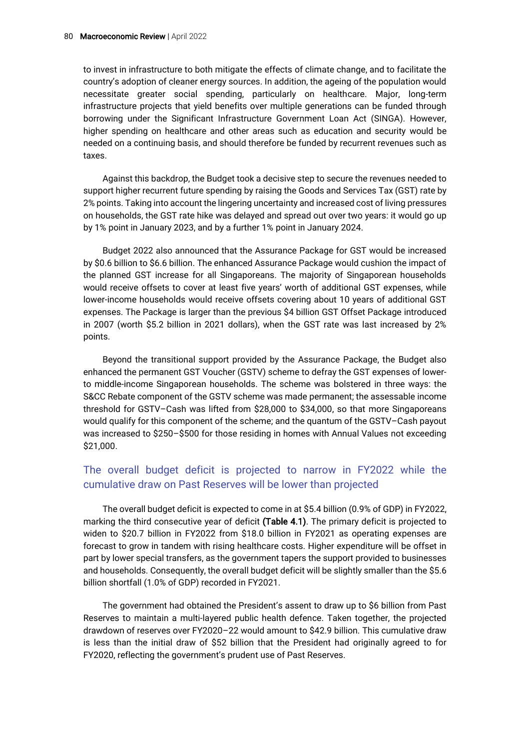to invest in infrastructure to both mitigate the effects of climate change, and to facilitate the country's adoption of cleaner energy sources. In addition, the ageing of the population would necessitate greater social spending, particularly on healthcare. Major, long-term infrastructure projects that yield benefits over multiple generations can be funded through borrowing under the Significant Infrastructure Government Loan Act (SINGA). However, higher spending on healthcare and other areas such as education and security would be needed on a continuing basis, and should therefore be funded by recurrent revenues such as taxes.

Against this backdrop, the Budget took a decisive step to secure the revenues needed to support higher recurrent future spending by raising the Goods and Services Tax (GST) rate by 2% points. Taking into account the lingering uncertainty and increased cost of living pressures on households, the GST rate hike was delayed and spread out over two years: it would go up by 1% point in January 2023, and by a further 1% point in January 2024.

Budget 2022 also announced that the Assurance Package for GST would be increased by \$0.6 billion to \$6.6 billion. The enhanced Assurance Package would cushion the impact of the planned GST increase for all Singaporeans. The majority of Singaporean households would receive offsets to cover at least five years' worth of additional GST expenses, while lower-income households would receive offsets covering about 10 years of additional GST expenses. The Package is larger than the previous \$4 billion GST Offset Package introduced in 2007 (worth \$5.2 billion in 2021 dollars), when the GST rate was last increased by 2% points.

Beyond the transitional support provided by the Assurance Package, the Budget also enhanced the permanent GST Voucher (GSTV) scheme to defray the GST expenses of lowerto middle-income Singaporean households. The scheme was bolstered in three ways: the S&CC Rebate component of the GSTV scheme was made permanent; the assessable income threshold for GSTV–Cash was lifted from \$28,000 to \$34,000, so that more Singaporeans would qualify for this component of the scheme; and the quantum of the GSTV–Cash payout was increased to \$250–\$500 for those residing in homes with Annual Values not exceeding \$21,000.

### The overall budget deficit is projected to narrow in FY2022 while the cumulative draw on Past Reserves will be lower than projected

The overall budget deficit is expected to come in at \$5.4 billion (0.9% of GDP) in FY2022, marking the third consecutive year of deficit (Table 4.1). The primary deficit is projected to widen to \$20.7 billion in FY2022 from \$18.0 billion in FY2021 as operating expenses are forecast to grow in tandem with rising healthcare costs. Higher expenditure will be offset in part by lower special transfers, as the government tapers the support provided to businesses and households. Consequently, the overall budget deficit will be slightly smaller than the \$5.6 billion shortfall (1.0% of GDP) recorded in FY2021.

The government had obtained the President's assent to draw up to \$6 billion from Past Reserves to maintain a multi-layered public health defence. Taken together, the projected drawdown of reserves over FY2020–22 would amount to \$42.9 billion. This cumulative draw is less than the initial draw of \$52 billion that the President had originally agreed to for FY2020, reflecting the government's prudent use of Past Reserves.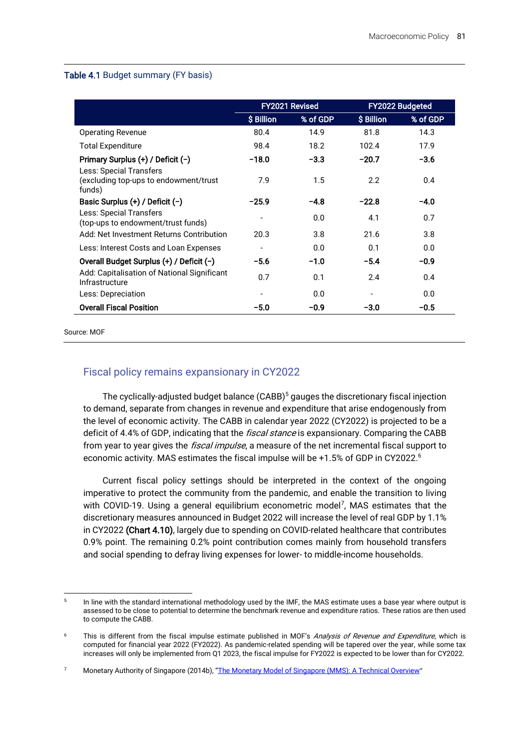#### Table 4.1 Budget summary (FY basis)

|                                                               | FY2021 Revised |          | <b>FY2022 Budgeted</b>   |          |
|---------------------------------------------------------------|----------------|----------|--------------------------|----------|
|                                                               | \$ Billion     | % of GDP | \$ Billion               | % of GDP |
| <b>Operating Revenue</b>                                      | 80.4           | 14.9     | 81.8                     | 14.3     |
| <b>Total Expenditure</b>                                      | 98.4           | 18.2     | 102.4                    | 17.9     |
| Primary Surplus (+) / Deficit (-)<br>Less: Special Transfers  | $-18.0$        | $-3.3$   | $-20.7$                  | $-3.6$   |
| (excluding top-ups to endowment/trust<br>funds)               | 7.9            | 1.5      | 2.2                      | 0.4      |
| Basic Surplus $(+)$ / Deficit $(-)$                           | $-25.9$        | $-4.8$   | $-22.8$                  | $-4.0$   |
| Less: Special Transfers<br>(top-ups to endowment/trust funds) |                | 0.0      | 4.1                      | 0.7      |
| Add: Net Investment Returns Contribution                      | 20.3           | 3.8      | 21.6                     | 3.8      |
| Less: Interest Costs and Loan Expenses                        |                | 0.0      | 0.1                      | 0.0      |
| Overall Budget Surplus (+) / Deficit (-)                      | $-5.6$         | $-1.0$   | $-5.4$                   | -0.9     |
| Add: Capitalisation of National Significant<br>Infrastructure | 0.7            | 0.1      | 2.4                      | 0.4      |
| Less: Depreciation                                            |                | 0.0      | $\overline{\phantom{a}}$ | 0.0      |
| <b>Overall Fiscal Position</b>                                | $-5.0$         | $-0.9$   | $-3.0$                   | $-0.5$   |

Source: MOF

### Fiscal policy remains expansionary in CY2022

The cyclically-adjusted budget balance (CABB)<sup>5</sup> gauges the discretionary fiscal injection to demand, separate from changes in revenue and expenditure that arise endogenously from the level of economic activity. The CABB in calendar year 2022 (CY2022) is projected to be a deficit of 4.4% of GDP, indicating that the *fiscal stance* is expansionary. Comparing the CABB from year to year gives the *fiscal impulse*, a measure of the net incremental fiscal support to economic activity. MAS estimates the fiscal impulse will be +1.5% of GDP in CY2022. 6

Current fiscal policy settings should be interpreted in the context of the ongoing imperative to protect the community from the pandemic, and enable the transition to living with COVID-19. Using a general equilibrium econometric model<sup>7</sup>, MAS estimates that the discretionary measures announced in Budget 2022 will increase the level of real GDP by 1.1% in CY2022 (Chart 4.10), largely due to spending on COVID-related healthcare that contributes 0.9% point. The remaining 0.2% point contribution comes mainly from household transfers and social spending to defray living expenses for lower- to middle-income households.

<sup>5</sup> In line with the standard international methodology used by the IMF, the MAS estimate uses a base year where output is assessed to be close to potential to determine the benchmark revenue and expenditure ratios. These ratios are then used to compute the CABB.

This is different from the fiscal impulse estimate published in MOF's Analysis of Revenue and Expenditure, which is computed for financial year 2022 (FY2022). As pandemic-related spending will be tapered over the year, while some tax increases will only be implemented from Q1 2023, the fiscal impulse for FY2022 is expected to be lower than for CY2022.

<sup>7</sup> Monetary Authority of Singapore (2014b), "[The Monetary Model of Singapore \(MMS\): A Technical Overview](https://www.mas.gov.sg/-/media/MAS/Monetary-Policy-and-Economics/Education-and-Research/Education/Macroeconometric-Models/The-Monetary-Model-of-Singapore-MMS-A-Technical-Overview.pdf)"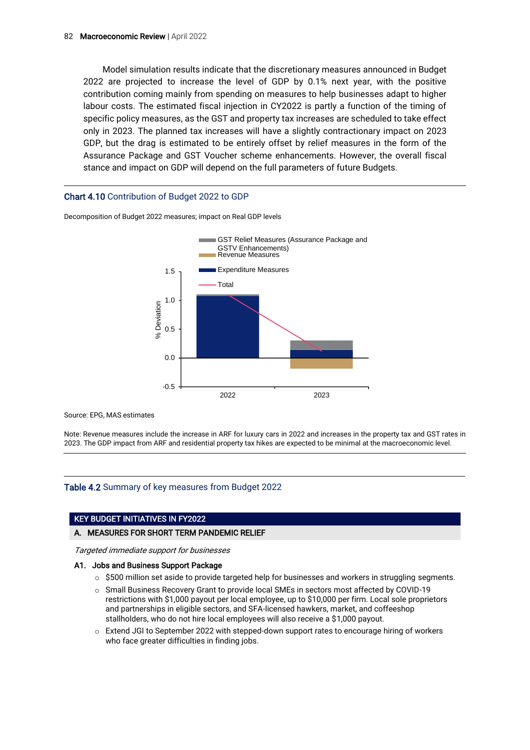Model simulation results indicate that the discretionary measures announced in Budget 2022 are projected to increase the level of GDP by 0.1% next year, with the positive contribution coming mainly from spending on measures to help businesses adapt to higher labour costs. The estimated fiscal injection in CY2022 is partly a function of the timing of specific policy measures, as the GST and property tax increases are scheduled to take effect only in 2023. The planned tax increases will have a slightly contractionary impact on 2023 GDP, but the drag is estimated to be entirely offset by relief measures in the form of the Assurance Package and GST Voucher scheme enhancements. However, the overall fiscal stance and impact on GDP will depend on the full parameters of future Budgets.

#### Chart 4.10 Contribution of Budget 2022 to GDP



Decomposition of Budget 2022 measures; impact on Real GDP levels

Source: EPG, MAS estimates

Note: Revenue measures include the increase in ARF for luxury cars in 2022 and increases in the property tax and GST rates in 2023. The GDP impact from ARF and residential property tax hikes are expected to be minimal at the macroeconomic level.

#### Table 4.2 Summary of key measures from Budget 2022

#### KEY BUDGET INITIATIVES IN FY2022

#### A. MEASURES FOR SHORT TERM PANDEMIC RELIEF

Targeted immediate support for businesses

#### A1. Jobs and Business Support Package

- $\circ$  \$500 million set aside to provide targeted help for businesses and workers in struggling segments.
- o Small Business Recovery Grant to provide local SMEs in sectors most affected by COVID-19 restrictions with \$1,000 payout per local employee, up to \$10,000 per firm. Local sole proprietors and partnerships in eligible sectors, and SFA-licensed hawkers, market, and coffeeshop stallholders, who do not hire local employees will also receive a \$1,000 payout.
- o Extend JGI to September 2022 with stepped-down support rates to encourage hiring of workers who face greater difficulties in finding jobs.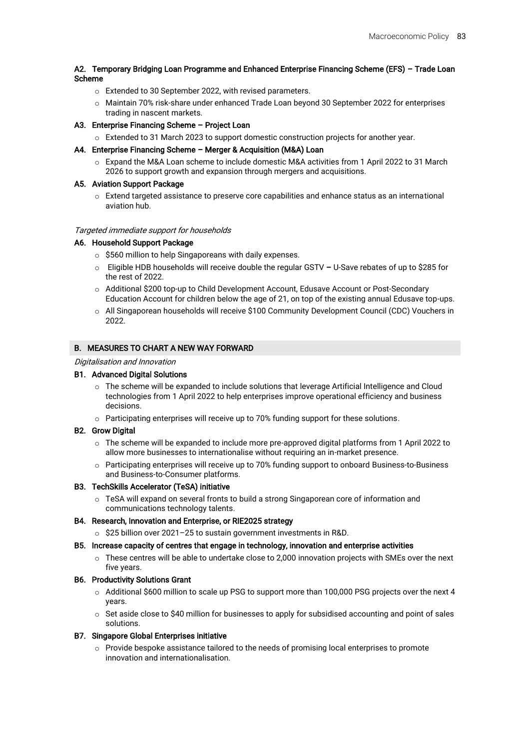#### A2. Temporary Bridging Loan Programme and Enhanced Enterprise Financing Scheme (EFS) – Trade Loan Scheme

- o Extended to 30 September 2022, with revised parameters.
- o Maintain 70% risk-share under enhanced Trade Loan beyond 30 September 2022 for enterprises trading in nascent markets.

#### A3. Enterprise Financing Scheme – Project Loan

o Extended to 31 March 2023 to support domestic construction projects for another year.

#### A4. Enterprise Financing Scheme – Merger & Acquisition (M&A) Loan

o Expand the M&A Loan scheme to include domestic M&A activities from 1 April 2022 to 31 March 2026 to support growth and expansion through mergers and acquisitions.

#### A5. Aviation Support Package

o Extend targeted assistance to preserve core capabilities and enhance status as an international aviation hub.

#### Targeted immediate support for households

#### A6. Household Support Package

- o \$560 million to help Singaporeans with daily expenses.
- o Eligible HDB households will receive double the regular GSTV U-Save rebates of up to \$285 for the rest of 2022.
- o Additional \$200 top-up to Child Development Account, Edusave Account or Post-Secondary Education Account for children below the age of 21, on top of the existing annual Edusave top-ups.
- o All Singaporean households will receive \$100 Community Development Council (CDC) Vouchers in 2022.

#### B. MEASURES TO CHART A NEW WAY FORWARD

#### Digitalisation and Innovation

#### B1. Advanced Digital Solutions

- $\circ$  The scheme will be expanded to include solutions that leverage Artificial Intelligence and Cloud technologies from 1 April 2022 to help enterprises improve operational efficiency and business decisions.
- o Participating enterprises will receive up to 70% funding support for these solutions.

#### B2. Grow Digital

- o The scheme will be expanded to include more pre-approved digital platforms from 1 April 2022 to allow more businesses to internationalise without requiring an in-market presence.
- o Participating enterprises will receive up to 70% funding support to onboard Business-to-Business and Business-to-Consumer platforms.

#### B3. TechSkills Accelerator (TeSA) initiative

o TeSA will expand on several fronts to build a strong Singaporean core of information and communications technology talents.

#### B4. Research, Innovation and Enterprise, or RIE2025 strategy

o \$25 billion over 2021–25 to sustain government investments in R&D.

#### B5. Increase capacity of centres that engage in technology, innovation and enterprise activities

o These centres will be able to undertake close to 2,000 innovation projects with SMEs over the next five years.

#### B6. Productivity Solutions Grant

- $\circ$  Additional \$600 million to scale up PSG to support more than 100,000 PSG projects over the next 4 years.
- $\circ$  Set aside close to \$40 million for businesses to apply for subsidised accounting and point of sales solutions.

#### B7. Singapore Global Enterprises initiative

o Provide bespoke assistance tailored to the needs of promising local enterprises to promote innovation and internationalisation.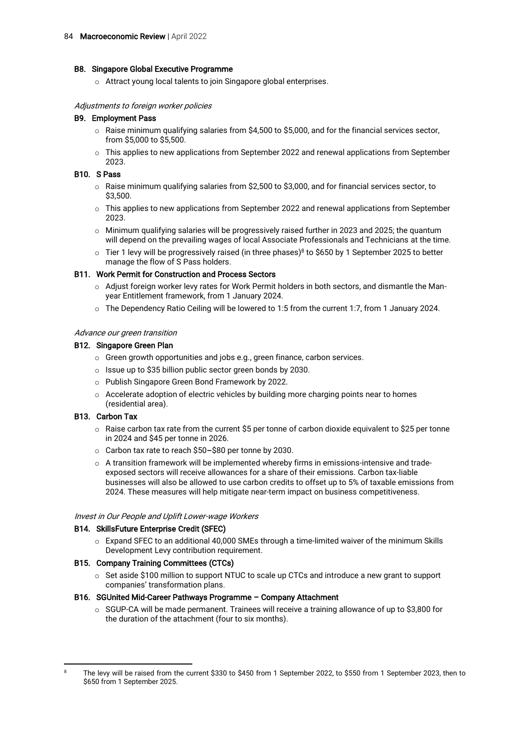#### B8. Singapore Global Executive Programme

o Attract young local talents to join Singapore global enterprises.

#### Adjustments to foreign worker policies

#### B9. Employment Pass

- $\circ$  Raise minimum qualifying salaries from \$4,500 to \$5,000, and for the financial services sector, from \$5,000 to \$5,500.
- $\circ$  This applies to new applications from September 2022 and renewal applications from September 2023.

#### B10. S Pass

- o Raise minimum qualifying salaries from \$2,500 to \$3,000, and for financial services sector, to \$3,500.
- o This applies to new applications from September 2022 and renewal applications from September 2023.
- $\circ$  Minimum qualifying salaries will be progressively raised further in 2023 and 2025; the quantum will depend on the prevailing wages of local Associate Professionals and Technicians at the time.
- $\circ$  Tier 1 levy will be progressively raised (in three phases)<sup>8</sup> to \$650 by 1 September 2025 to better manage the flow of S Pass holders.

#### B11. Work Permit for Construction and Process Sectors

- o Adjust foreign worker levy rates for Work Permit holders in both sectors, and dismantle the Manyear Entitlement framework, from 1 January 2024.
- o The Dependency Ratio Ceiling will be lowered to 1:5 from the current 1:7, from 1 January 2024.

#### Advance our green transition

#### B12. Singapore Green Plan

- o Green growth opportunities and jobs e.g., green finance, carbon services.
- o Issue up to \$35 billion public sector green bonds by 2030.
- o Publish Singapore Green Bond Framework by 2022.
- o Accelerate adoption of electric vehicles by building more charging points near to homes (residential area).

#### B13. Carbon Tax

- $\circ$  Raise carbon tax rate from the current \$5 per tonne of carbon dioxide equivalent to \$25 per tonne in 2024 and \$45 per tonne in 2026.
- o Carbon tax rate to reach \$50–\$80 per tonne by 2030.
- o A transition framework will be implemented whereby firms in emissions-intensive and tradeexposed sectors will receive allowances for a share of their emissions. Carbon tax-liable businesses will also be allowed to use carbon credits to offset up to 5% of taxable emissions from 2024. These measures will help mitigate near-term impact on business competitiveness.

#### Invest in Our People and Uplift Lower-wage Workers

#### B14. SkillsFuture Enterprise Credit (SFEC)

 $\circ$  Expand SFEC to an additional 40,000 SMEs through a time-limited waiver of the minimum Skills Development Levy contribution requirement.

#### B15. Company Training Committees (CTCs)

 $\circ$  Set aside \$100 million to support NTUC to scale up CTCs and introduce a new grant to support companies' transformation plans.

#### B16. SGUnited Mid-Career Pathways Programme – Company Attachment

 $\circ$  SGUP-CA will be made permanent. Trainees will receive a training allowance of up to \$3,800 for the duration of the attachment (four to six months).

<sup>&</sup>lt;sup>8</sup> The levy will be raised from the current \$330 to \$450 from 1 September 2022, to \$550 from 1 September 2023, then to \$650 from 1 September 2025.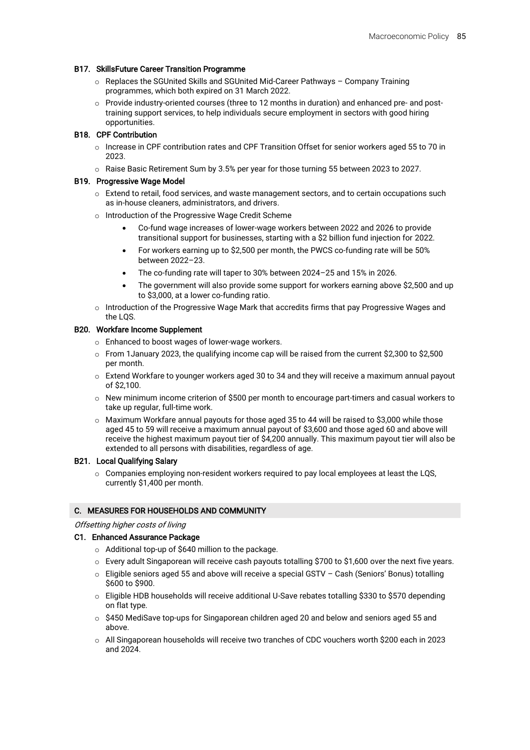#### B17. SkillsFuture Career Transition Programme

- o Replaces the SGUnited Skills and SGUnited Mid-Career Pathways Company Training programmes, which both expired on 31 March 2022.
- o Provide industry-oriented courses (three to 12 months in duration) and enhanced pre- and posttraining support services, to help individuals secure employment in sectors with good hiring opportunities.

#### B18. CPF Contribution

- o Increase in CPF contribution rates and CPF Transition Offset for senior workers aged 55 to 70 in 2023.
- o Raise Basic Retirement Sum by 3.5% per year for those turning 55 between 2023 to 2027.

#### B19. Progressive Wage Model

- o Extend to retail, food services, and waste management sectors, and to certain occupations such as in-house cleaners, administrators, and drivers.
- o Introduction of the Progressive Wage Credit Scheme
	- Co-fund wage increases of lower-wage workers between 2022 and 2026 to provide transitional support for businesses, starting with a \$2 billion fund injection for 2022.
	- For workers earning up to \$2,500 per month, the PWCS co-funding rate will be 50% between 2022–23.
	- The co-funding rate will taper to 30% between 2024–25 and 15% in 2026.
	- The government will also provide some support for workers earning above \$2,500 and up to \$3,000, at a lower co-funding ratio.
- o Introduction of the Progressive Wage Mark that accredits firms that pay Progressive Wages and the LQS.

#### B20. Workfare Income Supplement

- o Enhanced to boost wages of lower-wage workers.
- o From 1January 2023, the qualifying income cap will be raised from the current \$2,300 to \$2,500 per month.
- o Extend Workfare to younger workers aged 30 to 34 and they will receive a maximum annual payout of \$2,100.
- $\circ$  New minimum income criterion of \$500 per month to encourage part-timers and casual workers to take up regular, full-time work.
- $\circ$  Maximum Workfare annual payouts for those aged 35 to 44 will be raised to \$3,000 while those aged 45 to 59 will receive a maximum annual payout of \$3,600 and those aged 60 and above will receive the highest maximum payout tier of \$4,200 annually. This maximum payout tier will also be extended to all persons with disabilities, regardless of age.

#### B21. Local Qualifying Salary

 $\circ$  Companies employing non-resident workers required to pay local employees at least the LQS, currently \$1,400 per month.

#### C. MEASURES FOR HOUSEHOLDS AND COMMUNITY

#### Offsetting higher costs of living

#### C1. Enhanced Assurance Package

- o Additional top-up of \$640 million to the package.
- $\circ$  Every adult Singaporean will receive cash payouts totalling \$700 to \$1,600 over the next five years.
- o Eligible seniors aged 55 and above will receive a special GSTV Cash (Seniors' Bonus) totalling \$600 to \$900.
- o Eligible HDB households will receive additional U-Save rebates totalling \$330 to \$570 depending on flat type.
- $\circ$  \$450 MediSave top-ups for Singaporean children aged 20 and below and seniors aged 55 and above.
- o All Singaporean households will receive two tranches of CDC vouchers worth \$200 each in 2023 and 2024.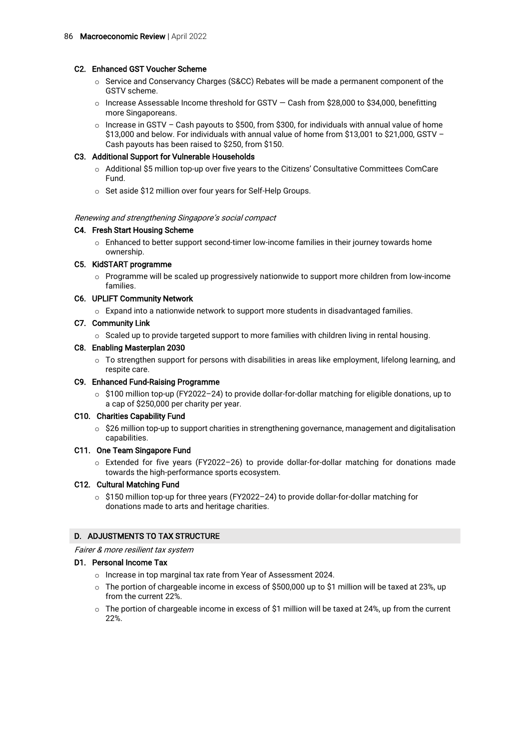#### C2. Enhanced GST Voucher Scheme

- o Service and Conservancy Charges (S&CC) Rebates will be made a permanent component of the GSTV scheme.
- o Increase Assessable Income threshold for GSTV Cash from \$28,000 to \$34,000, benefitting more Singaporeans.
- $\circ$  Increase in GSTV Cash payouts to \$500, from \$300, for individuals with annual value of home \$13,000 and below. For individuals with annual value of home from \$13,001 to \$21,000, GSTV – Cash payouts has been raised to \$250, from \$150.

#### C3. Additional Support for Vulnerable Households

- o Additional \$5 million top-up over five years to the Citizens' Consultative Committees ComCare Fund.
- o Set aside \$12 million over four years for Self-Help Groups.

#### Renewing and strengthening Singapore's social compact

#### C4. Fresh Start Housing Scheme

o Enhanced to better support second-timer low-income families in their journey towards home ownership.

#### C5. KidSTART programme

 $\circ$  Programme will be scaled up progressively nationwide to support more children from low-income families.

#### C6. UPLIFT Community Network

 $\circ$  Expand into a nationwide network to support more students in disadvantaged families.

#### C7. Community Link

o Scaled up to provide targeted support to more families with children living in rental housing.

#### C8. Enabling Masterplan 2030

 $\circ$  To strengthen support for persons with disabilities in areas like employment, lifelong learning, and respite care.

#### C9. Enhanced Fund-Raising Programme

o \$100 million top-up (FY2022–24) to provide dollar-for-dollar matching for eligible donations, up to a cap of \$250,000 per charity per year.

#### C10. Charities Capability Fund

o \$26 million top-up to support charities in strengthening governance, management and digitalisation capabilities.

#### C11. One Team Singapore Fund

o Extended for five years (FY2022–26) to provide dollar-for-dollar matching for donations made towards the high-performance sports ecosystem.

#### C12. Cultural Matching Fund

o \$150 million top-up for three years (FY2022–24) to provide dollar-for-dollar matching for donations made to arts and heritage charities.

#### D. ADJUSTMENTS TO TAX STRUCTURE

Fairer & more resilient tax system

#### D1. Personal Income Tax

- o Increase in top marginal tax rate from Year of Assessment 2024.
- $\circ$  The portion of chargeable income in excess of \$500,000 up to \$1 million will be taxed at 23%, up from the current 22%.
- $\circ$  The portion of chargeable income in excess of \$1 million will be taxed at 24%, up from the current 22%.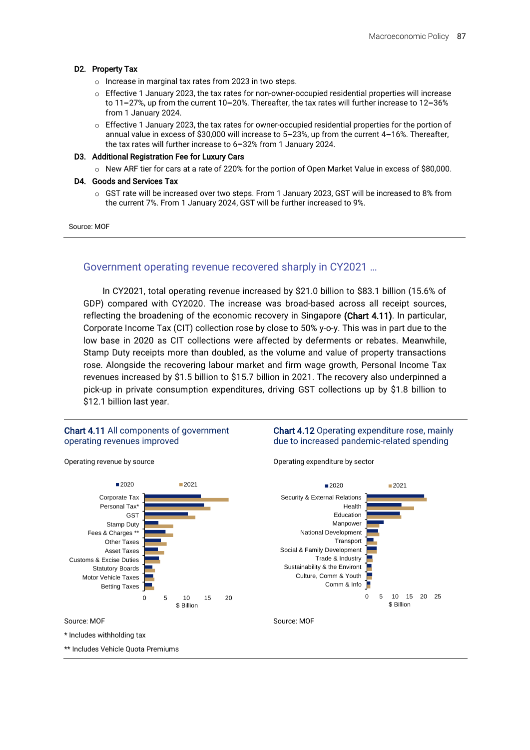#### D2. Property Tax

- o Increase in marginal tax rates from 2023 in two steps.
- o Effective 1 January 2023, the tax rates for non-owner-occupied residential properties will increase to 11–27%, up from the current 10–20%. Thereafter, the tax rates will further increase to 12–36% from 1 January 2024.
- o Effective 1 January 2023, the tax rates for owner-occupied residential properties for the portion of annual value in excess of \$30,000 will increase to 5–23%, up from the current 4–16%. Thereafter, the tax rates will further increase to 6–32% from 1 January 2024.

#### D3. Additional Registration Fee for Luxury Cars

o New ARF tier for cars at a rate of 220% for the portion of Open Market Value in excess of \$80,000.

#### D4. Goods and Services Tax

o GST rate will be increased over two steps. From 1 January 2023, GST will be increased to 8% from the current 7%. From 1 January 2024, GST will be further increased to 9%.

#### Source: MOF

### Government operating revenue recovered sharply in CY2021 …

In CY2021, total operating revenue increased by \$21.0 billion to \$83.1 billion (15.6% of GDP) compared with CY2020. The increase was broad-based across all receipt sources, reflecting the broadening of the economic recovery in Singapore (Chart 4.11). In particular, Corporate Income Tax (CIT) collection rose by close to 50% y-o-y. This was in part due to the low base in 2020 as CIT collections were affected by deferments or rebates. Meanwhile, Stamp Duty receipts more than doubled, as the volume and value of property transactions rose. Alongside the recovering labour market and firm wage growth, Personal Income Tax revenues increased by \$1.5 billion to \$15.7 billion in 2021. The recovery also underpinned a pick-up in private consumption expenditures, driving GST collections up by \$1.8 billion to \$12.1 billion last year.

#### Chart 4.11 All components of government operating revenues improved

#### Chart 4.12 Operating expenditure rose, mainly due to increased pandemic-related spending

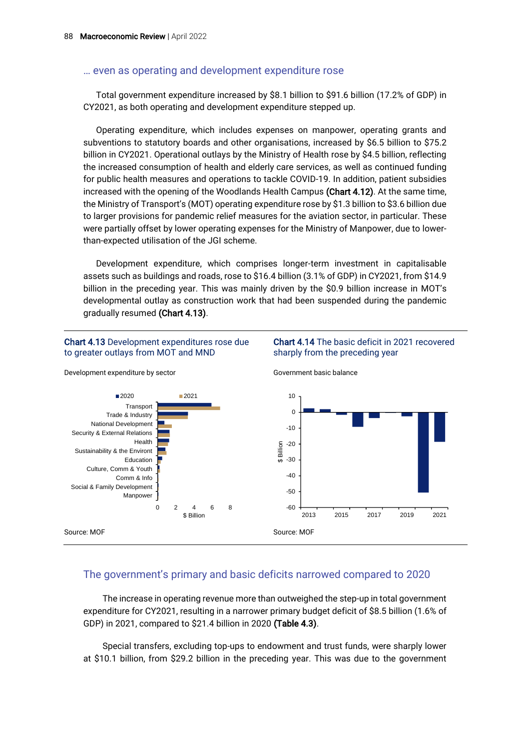### … even as operating and development expenditure rose

Total government expenditure increased by \$8.1 billion to \$91.6 billion (17.2% of GDP) in CY2021, as both operating and development expenditure stepped up.

Operating expenditure, which includes expenses on manpower, operating grants and subventions to statutory boards and other organisations, increased by \$6.5 billion to \$75.2 billion in CY2021. Operational outlays by the Ministry of Health rose by \$4.5 billion, reflecting the increased consumption of health and elderly care services, as well as continued funding for public health measures and operations to tackle COVID-19. In addition, patient subsidies increased with the opening of the Woodlands Health Campus (Chart 4.12). At the same time, the Ministry of Transport's (MOT) operating expenditure rose by \$1.3 billion to \$3.6 billion due to larger provisions for pandemic relief measures for the aviation sector, in particular. These were partially offset by lower operating expenses for the Ministry of Manpower, due to lowerthan-expected utilisation of the JGI scheme.

Development expenditure, which comprises longer-term investment in capitalisable assets such as buildings and roads, rose to \$16.4 billion (3.1% of GDP) in CY2021, from \$14.9 billion in the preceding year. This was mainly driven by the \$0.9 billion increase in MOT's developmental outlay as construction work that had been suspended during the pandemic gradually resumed (Chart 4.13).

Chart 4.14 The basic deficit in 2021 recovered

sharply from the preceding year

#### Chart 4.13 Development expenditures rose due to greater outlays from MOT and MND



### Development expenditure by sector

### The government's primary and basic deficits narrowed compared to 2020

The increase in operating revenue more than outweighed the step-up in total government expenditure for CY2021, resulting in a narrower primary budget deficit of \$8.5 billion (1.6% of GDP) in 2021, compared to \$21.4 billion in 2020 (Table 4.3).

Special transfers, excluding top-ups to endowment and trust funds, were sharply lower at \$10.1 billion, from \$29.2 billion in the preceding year. This was due to the government